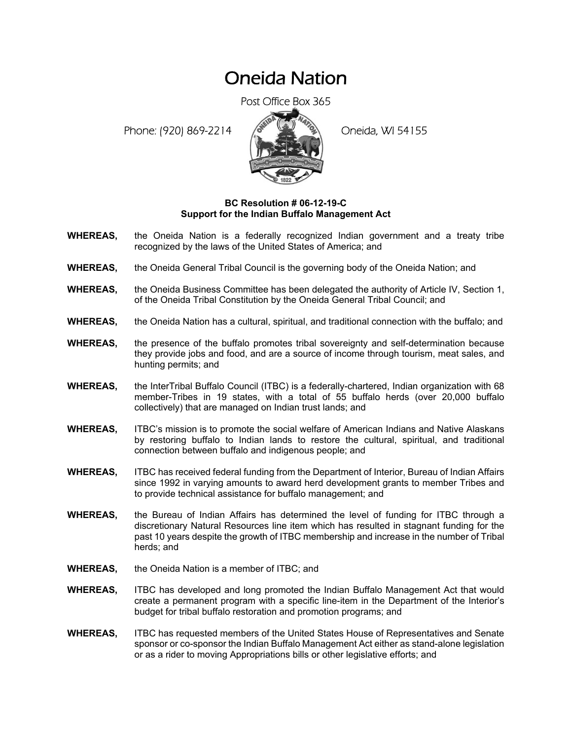## Oneida Nation

Post Office Box 365

Phone: (920) 869-2214 (8 April 194155)



## **BC Resolution # 06-12-19-C Support for the Indian Buffalo Management Act**

- **WHEREAS,** the Oneida Nation is a federally recognized Indian government and a treaty tribe recognized by the laws of the United States of America; and
- **WHEREAS,** the Oneida General Tribal Council is the governing body of the Oneida Nation; and
- **WHEREAS,** the Oneida Business Committee has been delegated the authority of Article IV, Section 1, of the Oneida Tribal Constitution by the Oneida General Tribal Council; and
- **WHEREAS,** the Oneida Nation has a cultural, spiritual, and traditional connection with the buffalo; and
- **WHEREAS,** the presence of the buffalo promotes tribal sovereignty and self-determination because they provide jobs and food, and are a source of income through tourism, meat sales, and hunting permits; and
- **WHEREAS,** the InterTribal Buffalo Council (ITBC) is a federally-chartered, Indian organization with 68 member-Tribes in 19 states, with a total of 55 buffalo herds (over 20,000 buffalo collectively) that are managed on Indian trust lands; and
- **WHEREAS,** ITBC's mission is to promote the social welfare of American Indians and Native Alaskans by restoring buffalo to Indian lands to restore the cultural, spiritual, and traditional connection between buffalo and indigenous people; and
- **WHEREAS,** ITBC has received federal funding from the Department of Interior, Bureau of Indian Affairs since 1992 in varying amounts to award herd development grants to member Tribes and to provide technical assistance for buffalo management; and
- **WHEREAS,** the Bureau of Indian Affairs has determined the level of funding for ITBC through a discretionary Natural Resources line item which has resulted in stagnant funding for the past 10 years despite the growth of ITBC membership and increase in the number of Tribal herds; and
- **WHEREAS,** the Oneida Nation is a member of ITBC; and
- **WHEREAS,** ITBC has developed and long promoted the Indian Buffalo Management Act that would create a permanent program with a specific line-item in the Department of the Interior's budget for tribal buffalo restoration and promotion programs; and
- **WHEREAS,** ITBC has requested members of the United States House of Representatives and Senate sponsor or co-sponsor the Indian Buffalo Management Act either as stand-alone legislation or as a rider to moving Appropriations bills or other legislative efforts; and